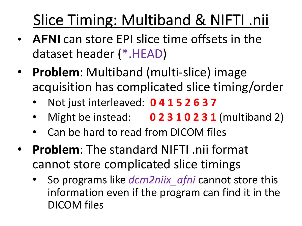## Slice Timing: Multiband & NIFTI .nii

- **AFNI** can store EPI slice time offsets in the dataset header (\*.HEAD)
- **Problem**: Multiband (multi-slice) image acquisition has complicated slice timing/order
	- Not just interleaved: **0 4 1 5 2 6 3 7**
	- Might be instead: **0 2 3 1 0 2 3 1** (multiband 2)
	- Can be hard to read from DICOM files
- **Problem**: The standard NIFTI .nii format cannot store complicated slice timings
	- So programs like *dcm2niix\_afni* cannot store this information even if the program can find it in the DICOM files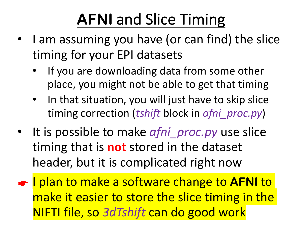## **AFNI** and Slice Timing

- I am assuming you have (or can find) the slice timing for your EPI datasets
	- If you are downloading data from some other place, you might not be able to get that timing
	- In that situation, you will just have to skip slice timing correction (*tshift* block in *afni\_proc.py*)
- It is possible to make *afni proc.py* use slice timing that is **not** stored in the dataset header, but it is complicated right now
- ☛ I plan to make a software change to **AFNI** to make it easier to store the slice timing in the NIFTI file, so *3dTshift* can do good work